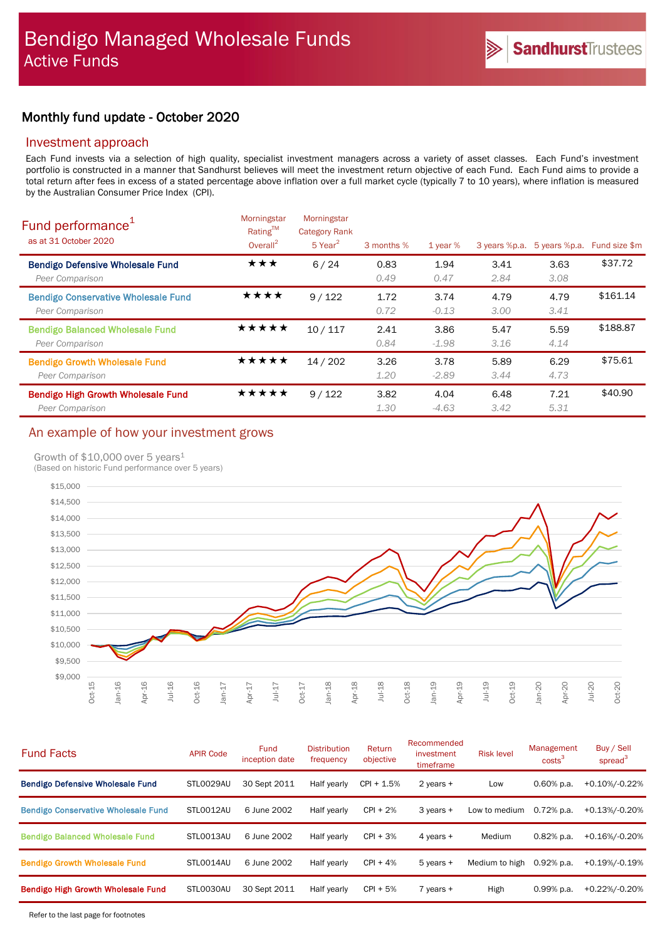# Monthly fund update - October 2020

### Investment approach

Each Fund invests via a selection of high quality, specialist investment managers across a variety of asset classes. Each Fund's investment portfolio is constructed in a manner that Sandhurst believes will meet the investment return objective of each Fund. Each Fund aims to provide a total return after fees in excess of a stated percentage above inflation over a full market cycle (typically 7 to 10 years), where inflation is measured by the Australian Consumer Price Index (CPI).

| Fund performance <sup>1</sup><br>as at 31 October 2020        | Morningstar<br>Rating™<br>Overall $^2$ | Morningstar<br><b>Category Rank</b><br>$5$ Year <sup>2</sup> | 3 months %   | 1 year $%$      | 3 years %p.a. | 5 years %p.a. | Fund size \$m |
|---------------------------------------------------------------|----------------------------------------|--------------------------------------------------------------|--------------|-----------------|---------------|---------------|---------------|
| <b>Bendigo Defensive Wholesale Fund</b><br>Peer Comparison    | ★★★                                    | 6/24                                                         | 0.83<br>0.49 | 1.94<br>0.47    | 3.41<br>2.84  | 3.63<br>3.08  | \$37.72       |
| <b>Bendigo Conservative Wholesale Fund</b><br>Peer Comparison | ****                                   | 9/122                                                        | 1.72<br>0.72 | 3.74<br>$-0.13$ | 4.79<br>3.00  | 4.79<br>3.41  | \$161.14      |
| <b>Bendigo Balanced Wholesale Fund</b><br>Peer Comparison     | ★★★★★                                  | 10/117                                                       | 2.41<br>0.84 | 3.86<br>$-1.98$ | 5.47<br>3.16  | 5.59<br>4.14  | \$188.87      |
| <b>Bendigo Growth Wholesale Fund</b><br>Peer Comparison       | ★★★★★                                  | 14/202                                                       | 3.26<br>1.20 | 3.78<br>$-2.89$ | 5.89<br>3.44  | 6.29<br>4.73  | \$75.61       |
| Bendigo High Growth Wholesale Fund<br>Peer Comparison         | ★★★★★                                  | 9/122                                                        | 3.82<br>1.30 | 4.04<br>$-4.63$ | 6.48<br>3.42  | 7.21<br>5.31  | \$40.90       |

# An example of how your investment grows

### Growth of \$10,000 over 5 years<sup>1</sup>

(Based on historic Fund performance over 5 years)



| <b>Fund Facts</b>                          | <b>APIR Code</b> | <b>Fund</b><br>inception date | <b>Distribution</b><br>frequency | Return<br>objective | Recommended<br>investment<br>timeframe | <b>Risk level</b> | Management<br>costs <sup>3</sup> | Buy / Sell<br>spread <sup>3</sup> |
|--------------------------------------------|------------------|-------------------------------|----------------------------------|---------------------|----------------------------------------|-------------------|----------------------------------|-----------------------------------|
| <b>Bendigo Defensive Wholesale Fund</b>    | STL0029AU        | 30 Sept 2011                  | Half yearly                      | $CPI + 1.5%$        | 2 years $+$                            | Low               | $0.60\%$ p.a.                    | +0.10%/-0.22%                     |
| <b>Bendigo Conservative Wholesale Fund</b> | STLO012AU        | 6 June 2002                   | Half yearly                      | $CPI + 2%$          | 3 years +                              | Low to medium     | $0.72\%$ p.a.                    | +0.13%/-0.20%                     |
| <b>Bendigo Balanced Wholesale Fund</b>     | STLO013AU        | 6 June 2002                   | Half yearly                      | $CPI + 3%$          | 4 years +                              | Medium            | $0.82%$ p.a.                     | +0.16%/-0.20%                     |
| <b>Bendigo Growth Wholesale Fund</b>       | STLO014AU        | 6 June 2002                   | Half yearly                      | $CPI + 4%$          | $5$ years $+$                          | Medium to high    | $0.92%$ p.a.                     | +0.19%/-0.19%                     |
| <b>Bendigo High Growth Wholesale Fund</b>  | STLO030AU        | 30 Sept 2011                  | Half yearly                      | $CPI + 5%$          | $7$ vears $+$                          | High              | $0.99%$ p.a.                     | +0.22%/-0.20%                     |
|                                            |                  |                               |                                  |                     |                                        |                   |                                  |                                   |

Refer to the last page for footnotes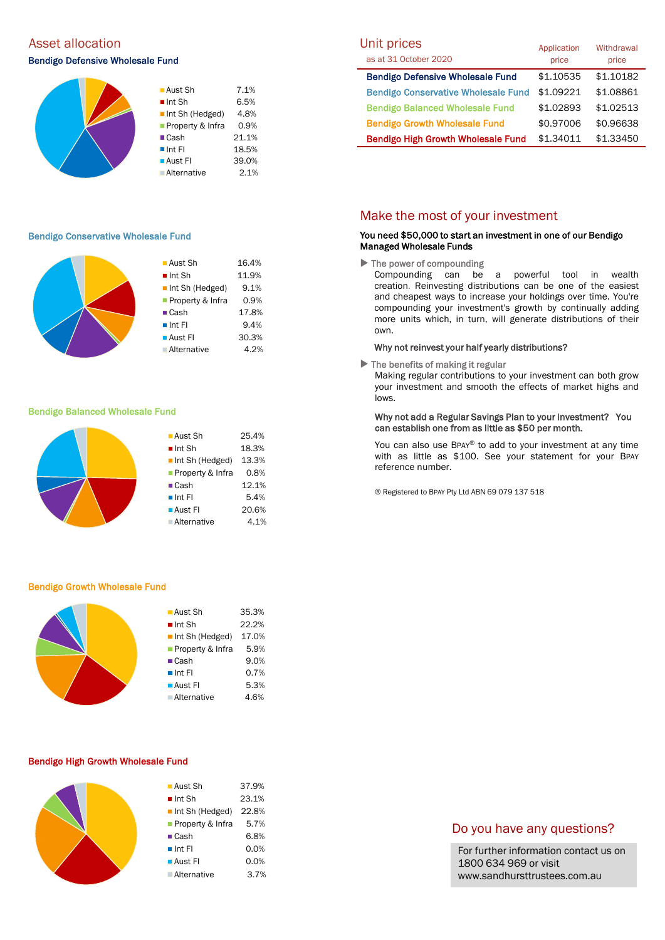# Asset allocation and the Unit prices of the Unit prices of the Unit prices of the Unit prices of the Unit prices

### Bendigo Defensive Wholesale Fund



### Bendigo Conservative Wholesale Fund

|  | $\blacksquare$ Aust Sh         | 16.4% |
|--|--------------------------------|-------|
|  |                                |       |
|  | $\blacksquare$ Int Sh          | 11.9% |
|  | $\blacksquare$ Int Sh (Hedged) | 9.1%  |
|  | Property & Infra               | 0.9%  |
|  | $\blacksquare$ Cash            | 17.8% |
|  | $\blacksquare$ Int Fl          | 9.4%  |
|  | ■ Aust Fl                      | 30.3% |
|  | <b>Alternative</b>             | 4.2%  |
|  |                                |       |

#### Bendigo Balanced Wholesale Fund



#### Bendigo Growth Wholesale Fund

| $\blacksquare$ Aust Sh         | 35.3% |
|--------------------------------|-------|
| $\blacksquare$ Int Sh          | 22.2% |
| $\blacksquare$ Int Sh (Hedged) | 17.0% |
| Property & Infra               | 5.9%  |
| $\blacksquare$ Cash            | 9.0%  |
| $\blacksquare$ Int FI          | 0.7%  |
| $\blacksquare$ Aust FI         | 5.3%  |
| <b>Alternative</b>             | 4.6%  |
|                                |       |

#### Bendigo High Growth Wholesale Fund

| ■ Aust Sh             | 37.9% |
|-----------------------|-------|
| $\blacksquare$ Int Sh | 23.1% |
| Int Sh (Hedged)       | 22.8% |
| Property & Infra      | 5.7%  |
| $\blacksquare$ Cash   | 6.8%  |
| $\blacksquare$ Int FI | 0.0%  |
| ■ Aust Fl             | 0.0%  |
| ■ Alternative         | 3.7%  |
|                       |       |

| Unit prices                                | Application | Withdrawal |  |
|--------------------------------------------|-------------|------------|--|
| as at 31 October 2020                      | price       | price      |  |
| <b>Bendigo Defensive Wholesale Fund</b>    | \$1,10535   | \$1.10182  |  |
| <b>Bendigo Conservative Wholesale Fund</b> | \$1.09221   | \$1.08861  |  |
| <b>Bendigo Balanced Wholesale Fund</b>     | \$1.02893   | \$1.02513  |  |
| <b>Bendigo Growth Wholesale Fund</b>       | \$0.97006   | \$0.96638  |  |
| <b>Bendigo High Growth Wholesale Fund</b>  | \$1.34011   | \$1.33450  |  |

### Make the most of your investment

### You need \$50,000 to start an investment in one of our Bendigo Managed Wholesale Funds

 $\blacktriangleright$  The power of compounding

Compounding can be a powerful tool in wealth creation. Reinvesting distributions can be one of the easiest and cheapest ways to increase your holdings over time. You're compounding your investment's growth by continually adding more units which, in turn, will generate distributions of their own.

#### Why not reinvest your half yearly distributions?

 $\blacktriangleright$  The benefits of making it regular

Making regular contributions to your investment can both grow your investment and smooth the effects of market highs and lows.

### Why not add a Regular Savings Plan to your investment? You can establish one from as little as \$50 per month.

You can also use BPAY® to add to your investment at any time with as little as \$100. See your statement for your BPAY reference number.

® Registered to BPAY Pty Ltd ABN 69 079 137 518

### Do you have any questions?

For further information contact us on 1800 634 969 or visit www.sandhursttrustees.com.au